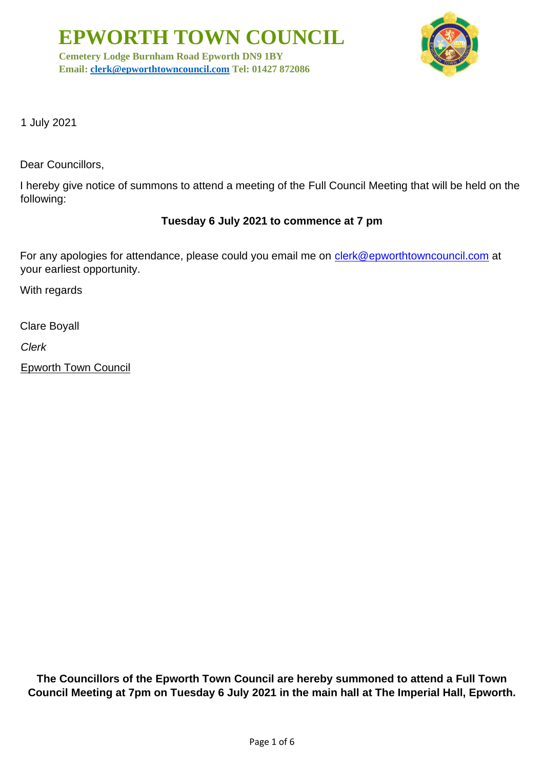**Cemetery Lodge Burnham Road Epworth DN9 1BY Email: [clerk@epworthtowncouncil.com](mailto:clerk@epworthtowncouncil.com) Tel: 01427 872086**



1 July 2021

Dear Councillors,

I hereby give notice of summons to attend a meeting of the Full Council Meeting that will be held on the following:

#### **Tuesday 6 July 2021 to commence at 7 pm**

For any apologies for attendance, please could you email me on clerk@epworthtowncouncil.com at your earliest opportunity.

With regards

Clare Boyall

*Clerk*

Epworth Town Council

**The Councillors of the Epworth Town Council are hereby summoned to attend a Full Town Council Meeting at 7pm on Tuesday 6 July 2021 in the main hall at The Imperial Hall, Epworth.**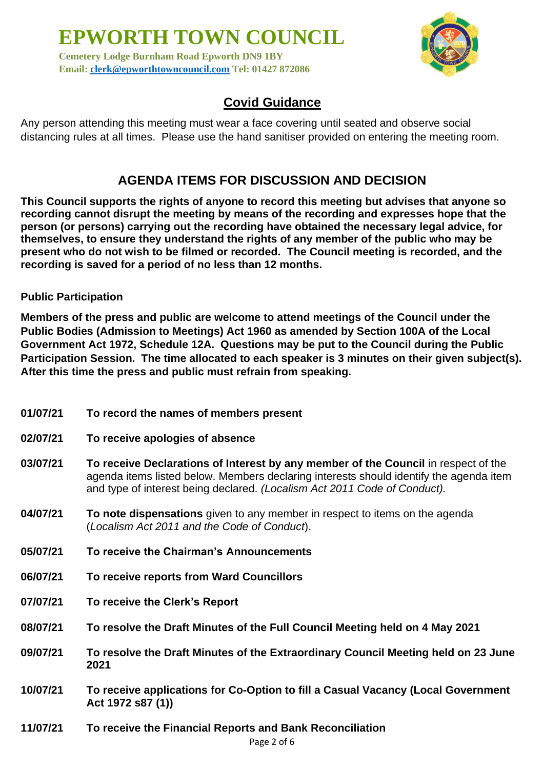**Cemetery Lodge Burnham Road Epworth DN9 1BY Email: [clerk@epworthtowncouncil.com](mailto:clerk@epworthtowncouncil.com) Tel: 01427 872086**



## **Covid Guidance**

Any person attending this meeting must wear a face covering until seated and observe social distancing rules at all times. Please use the hand sanitiser provided on entering the meeting room.

## **AGENDA ITEMS FOR DISCUSSION AND DECISION**

**This Council supports the rights of anyone to record this meeting but advises that anyone so recording cannot disrupt the meeting by means of the recording and expresses hope that the person (or persons) carrying out the recording have obtained the necessary legal advice, for themselves, to ensure they understand the rights of any member of the public who may be present who do not wish to be filmed or recorded. The Council meeting is recorded, and the recording is saved for a period of no less than 12 months.**

**Public Participation**

**Members of the press and public are welcome to attend meetings of the Council under the Public Bodies (Admission to Meetings) Act 1960 as amended by Section 100A of the Local Government Act 1972, Schedule 12A. Questions may be put to the Council during the Public Participation Session. The time allocated to each speaker is 3 minutes on their given subject(s). After this time the press and public must refrain from speaking.**

- **01/07/21 To record the names of members present**
- **02/07/21 To receive apologies of absence**
- **03/07/21 To receive Declarations of Interest by any member of the Council** in respect of the agenda items listed below. Members declaring interests should identify the agenda item and type of interest being declared. *(Localism Act 2011 Code of Conduct).*
- **04/07/21 To note dispensations** given to any member in respect to items on the agenda (*Localism Act 2011 and the Code of Conduct*).
- **05/07/21 To receive the Chairman's Announcements**
- **06/07/21 To receive reports from Ward Councillors**
- **07/07/21 To receive the Clerk's Report**
- **08/07/21 To resolve the Draft Minutes of the Full Council Meeting held on 4 May 2021**
- **09/07/21 To resolve the Draft Minutes of the Extraordinary Council Meeting held on 23 June 2021**
- **10/07/21 To receive applications for Co-Option to fill a Casual Vacancy (Local Government Act 1972 s87 (1))**
- **11/07/21 To receive the Financial Reports and Bank Reconciliation**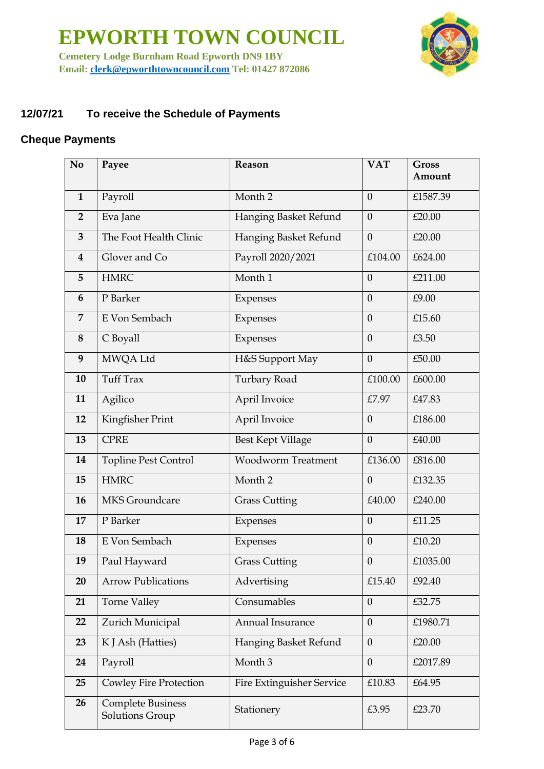**EPWORTH TOWN COUNCIL Cemetery Lodge Burnham Road Epworth DN9 1BY** 



**Email: [clerk@epworthtowncouncil.com](mailto:clerk@epworthtowncouncil.com) Tel: 01427 872086**

#### **12/07/21 To receive the Schedule of Payments**

#### **Cheque Payments**

| N <sub>o</sub>          | Payee                                       | Reason                           | <b>VAT</b>       | <b>Gross</b><br>Amount |
|-------------------------|---------------------------------------------|----------------------------------|------------------|------------------------|
| $\mathbf{1}$            | Payroll                                     | Month <sub>2</sub>               | $\overline{0}$   | £1587.39               |
| $\overline{2}$          | Eva Jane                                    | Hanging Basket Refund            | $\mathbf{0}$     | £20.00                 |
| $\overline{\mathbf{3}}$ | The Foot Health Clinic                      | Hanging Basket Refund            | $\theta$         | £20.00                 |
| $\overline{\mathbf{4}}$ | Glover and Co                               | Payroll 2020/2021                | £104.00          | £624.00                |
| 5                       | <b>HMRC</b>                                 | Month 1                          | $\overline{0}$   | £211.00                |
| 6                       | P Barker                                    | Expenses                         | $\overline{0}$   | £9.00                  |
| 7                       | E Von Sembach                               | Expenses                         | $\overline{0}$   | £15.60                 |
| 8                       | C Boyall                                    | Expenses                         | $\overline{0}$   | £3.50                  |
| 9                       | MWQA Ltd                                    | H&S Support May                  | $\overline{0}$   | £50.00                 |
| 10                      | <b>Tuff Trax</b>                            | Turbary Road                     | £100.00          | £600.00                |
| 11                      | Agilico                                     | April Invoice                    | £7.97            | £47.83                 |
| 12                      | Kingfisher Print                            | April Invoice                    | $\overline{0}$   | £186.00                |
| 13                      | <b>CPRE</b>                                 | <b>Best Kept Village</b>         | $\mathbf{0}$     | £40.00                 |
| 14                      | <b>Topline Pest Control</b>                 | <b>Woodworm Treatment</b>        | £136.00          | £816.00                |
| 15                      | <b>HMRC</b>                                 | Month <sub>2</sub>               | $\overline{0}$   | £132.35                |
| 16                      | <b>MKS</b> Groundcare                       | <b>Grass Cutting</b>             | £40.00           | £240.00                |
| 17                      | P Barker                                    | Expenses                         | $\boldsymbol{0}$ | £11.25                 |
| 18                      | E Von Sembach                               | Expenses                         | $\overline{0}$   | £10.20                 |
| 19                      | Paul Hayward                                | <b>Grass Cutting</b>             | $\boldsymbol{0}$ | £1035.00               |
| 20                      | <b>Arrow Publications</b>                   | Advertising                      | £15.40           | £92.40                 |
| 21                      | <b>Torne Valley</b>                         | Consumables                      | $\theta$         | £32.75                 |
| 22                      | Zurich Municipal                            | Annual Insurance                 | $\overline{0}$   | £1980.71               |
| 23                      | K J Ash (Hatties)                           | Hanging Basket Refund            | $\mathbf{0}$     | £20.00                 |
| 24                      | Payroll                                     | Month 3                          | $\overline{0}$   | £2017.89               |
| 25                      | <b>Cowley Fire Protection</b>               | <b>Fire Extinguisher Service</b> | £10.83           | £64.95                 |
| 26                      | <b>Complete Business</b><br>Solutions Group | Stationery                       | £3.95            | £23.70                 |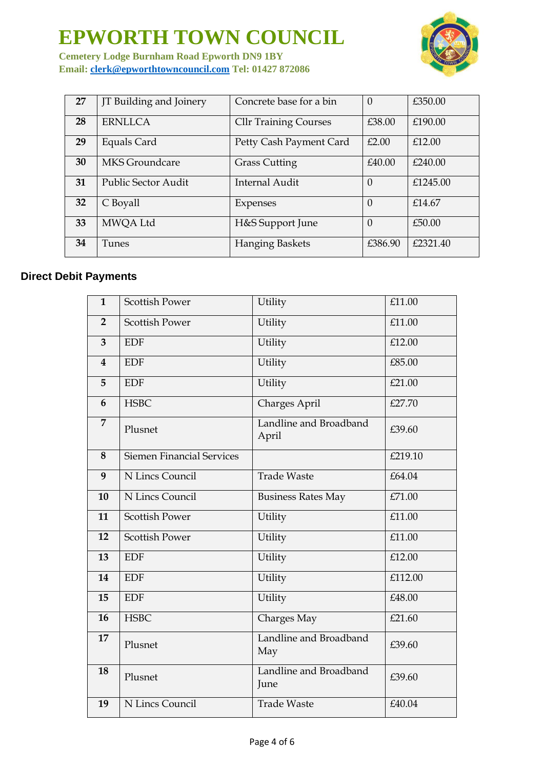

**Cemetery Lodge Burnham Road Epworth DN9 1BY Email: [clerk@epworthtowncouncil.com](mailto:clerk@epworthtowncouncil.com) Tel: 01427 872086**

| 27 | JT Building and Joinery | Concrete base for a bin      | $\theta$ | £350.00  |
|----|-------------------------|------------------------------|----------|----------|
| 28 | <b>ERNLLCA</b>          | <b>Cllr Training Courses</b> | £38.00   | £190.00  |
| 29 | Equals Card             | Petty Cash Payment Card      | £2.00    | £12.00   |
| 30 | MKS Groundcare          | <b>Grass Cutting</b>         | £40.00   | £240.00  |
| 31 | Public Sector Audit     | <b>Internal Audit</b>        | $\Omega$ | £1245.00 |
| 32 | C Boyall                | Expenses                     | $\theta$ | £14.67   |
| 33 | MWQA Ltd                | H&S Support June             | $\Omega$ | £50.00   |
| 34 | <b>Tunes</b>            | <b>Hanging Baskets</b>       | £386.90  | £2321.40 |

### **Direct Debit Payments**

| $\mathbf{1}$            | <b>Scottish Power</b>            | Utility                         | £11.00  |
|-------------------------|----------------------------------|---------------------------------|---------|
| $\overline{2}$          | <b>Scottish Power</b>            | Utility                         | £11.00  |
| $\overline{3}$          | <b>EDF</b>                       | Utility                         | £12.00  |
| $\overline{\mathbf{4}}$ | $\ensuremath{\mathrm{EDF}}$      | Utility                         | £85.00  |
| 5                       | <b>EDF</b>                       | Utility                         | £21.00  |
| 6                       | <b>HSBC</b>                      | Charges April                   | £27.70  |
| $\overline{7}$          | Plusnet                          | Landline and Broadband<br>April | £39.60  |
| 8                       | <b>Siemen Financial Services</b> |                                 | £219.10 |
| 9                       | N Lincs Council                  | <b>Trade Waste</b>              | £64.04  |
| 10                      | N Lincs Council                  | <b>Business Rates May</b>       | £71.00  |
| 11                      | <b>Scottish Power</b>            | Utility                         | £11.00  |
| 12                      | <b>Scottish Power</b>            | Utility                         | £11.00  |
| 13                      | <b>EDF</b>                       | Utility                         | £12.00  |
| 14                      | <b>EDF</b>                       | Utility                         | £112.00 |
| 15                      | <b>EDF</b>                       | Utility                         | £48.00  |
| 16                      | <b>HSBC</b>                      | Charges May                     | £21.60  |
| 17                      | Plusnet                          | Landline and Broadband<br>May   | £39.60  |
| 18                      | Plusnet                          | Landline and Broadband<br>June  | £39.60  |
| 19                      | N Lincs Council                  | <b>Trade Waste</b>              | £40.04  |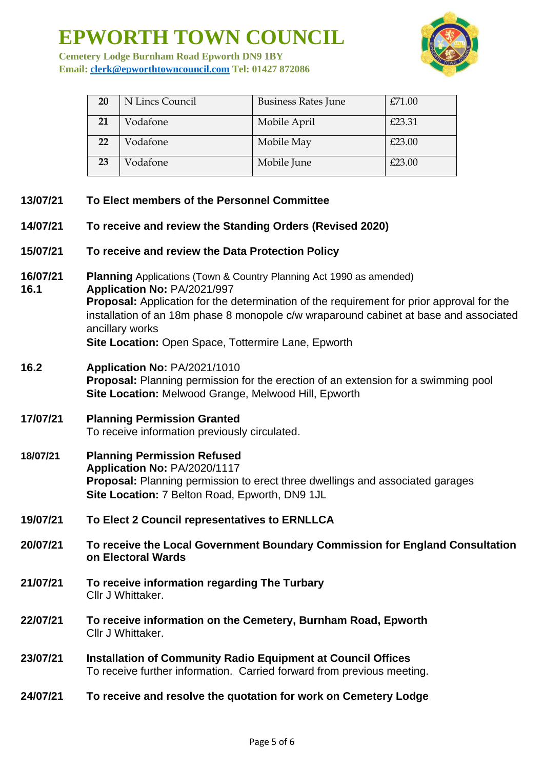

**Cemetery Lodge Burnham Road Epworth DN9 1BY Email: [clerk@epworthtowncouncil.com](mailto:clerk@epworthtowncouncil.com) Tel: 01427 872086**

| <b>20</b> | N Lincs Council | <b>Business Rates June</b> | £71.00 |
|-----------|-----------------|----------------------------|--------|
| 21        | Vodafone        | Mobile April               | £23.31 |
| 22        | Vodafone        | Mobile May                 | £23.00 |
| 23        | Vodafone        | Mobile June                | £23.00 |

- **13/07/21 To Elect members of the Personnel Committee 14/07/21 To receive and review the Standing Orders (Revised 2020) 15/07/21 To receive and review the Data Protection Policy 16/07/21 Planning** Applications (Town & Country Planning Act 1990 as amended) **16.1 Application No:** PA/2021/997 **Proposal:** Application for the determination of the requirement for prior approval for the installation of an 18m phase 8 monopole c/w wraparound cabinet at base and associated ancillary works **Site Location:** Open Space, Tottermire Lane, Epworth **16.2 Application No:** PA/2021/1010 **Proposal:** Planning permission for the erection of an extension for a swimming pool **Site Location:** Melwood Grange, Melwood Hill, Epworth **17/07/21 Planning Permission Granted** To receive information previously circulated. **18/07/21 Planning Permission Refused Application No:** PA/2020/1117 **Proposal:** Planning permission to erect three dwellings and associated garages **Site Location:** 7 Belton Road, Epworth, DN9 1JL **19/07/21 To Elect 2 Council representatives to ERNLLCA 20/07/21 To receive the Local Government Boundary Commission for England Consultation on Electoral Wards**
- **21/07/21 To receive information regarding The Turbary** Cllr J Whittaker.
- **22/07/21 To receive information on the Cemetery, Burnham Road, Epworth** Cllr J Whittaker.
- **23/07/21 Installation of Community Radio Equipment at Council Offices** To receive further information. Carried forward from previous meeting.
- **24/07/21 To receive and resolve the quotation for work on Cemetery Lodge**